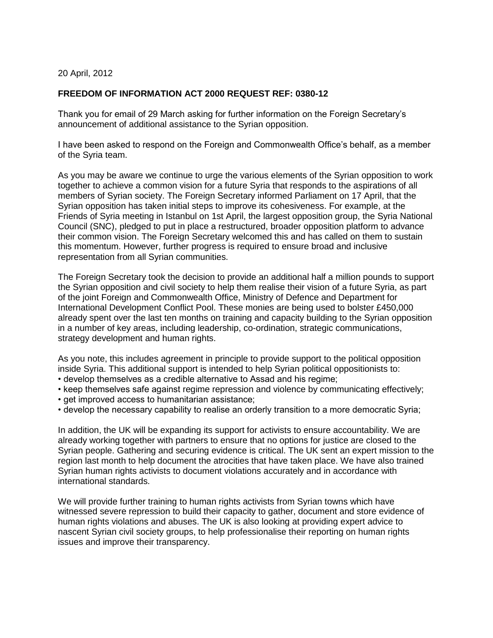20 April, 2012

## **FREEDOM OF INFORMATION ACT 2000 REQUEST REF: 0380-12**

Thank you for email of 29 March asking for further information on the Foreign Secretary's announcement of additional assistance to the Syrian opposition.

I have been asked to respond on the Foreign and Commonwealth Office's behalf, as a member of the Syria team.

As you may be aware we continue to urge the various elements of the Syrian opposition to work together to achieve a common vision for a future Syria that responds to the aspirations of all members of Syrian society. The Foreign Secretary informed Parliament on 17 April, that the Syrian opposition has taken initial steps to improve its cohesiveness. For example, at the Friends of Syria meeting in Istanbul on 1st April, the largest opposition group, the Syria National Council (SNC), pledged to put in place a restructured, broader opposition platform to advance their common vision. The Foreign Secretary welcomed this and has called on them to sustain this momentum. However, further progress is required to ensure broad and inclusive representation from all Syrian communities.

The Foreign Secretary took the decision to provide an additional half a million pounds to support the Syrian opposition and civil society to help them realise their vision of a future Syria, as part of the joint Foreign and Commonwealth Office, Ministry of Defence and Department for International Development Conflict Pool. These monies are being used to bolster £450,000 already spent over the last ten months on training and capacity building to the Syrian opposition in a number of key areas, including leadership, co-ordination, strategic communications, strategy development and human rights.

As you note, this includes agreement in principle to provide support to the political opposition inside Syria. This additional support is intended to help Syrian political oppositionists to:

- develop themselves as a credible alternative to Assad and his regime;
- keep themselves safe against regime repression and violence by communicating effectively;
- get improved access to humanitarian assistance;
- develop the necessary capability to realise an orderly transition to a more democratic Syria;

In addition, the UK will be expanding its support for activists to ensure accountability. We are already working together with partners to ensure that no options for justice are closed to the Syrian people. Gathering and securing evidence is critical. The UK sent an expert mission to the region last month to help document the atrocities that have taken place. We have also trained Syrian human rights activists to document violations accurately and in accordance with international standards.

We will provide further training to human rights activists from Syrian towns which have witnessed severe repression to build their capacity to gather, document and store evidence of human rights violations and abuses. The UK is also looking at providing expert advice to nascent Syrian civil society groups, to help professionalise their reporting on human rights issues and improve their transparency.